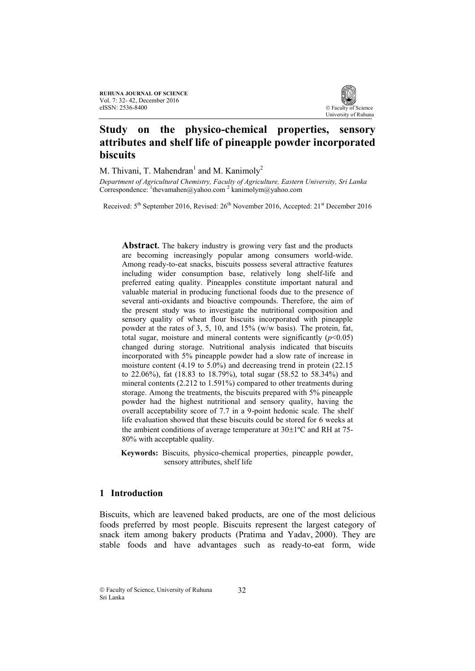

# **Study on the physico-chemical properties, sensory attributes and shelf life of pineapple powder incorporated biscuits**

M. Thivani, T. Mahendran<sup>1</sup> and M. Kanimoly<sup>2</sup>

*Department of Agricultural Chemistry, Faculty of Agriculture, Eastern University, Sri Lanka* Correspondence: <sup>1</sup>thevamahen@yahoo.com<sup>2</sup> kanimolym@yahoo.com

Received: 5<sup>th</sup> September 2016, Revised: 26<sup>th</sup> November 2016, Accepted: 21<sup>st</sup> December 2016

**Abstract.** The bakery industry is growing very fast and the products are becoming increasingly popular among consumers world-wide. Among ready-to-eat snacks, biscuits possess several attractive features including wider consumption base, relatively long shelf-life and preferred eating quality. Pineapples constitute important natural and valuable material in producing functional foods due to the presence of several anti-oxidants and bioactive compounds. Therefore, the aim of the present study was to investigate the nutritional composition and sensory quality of wheat flour biscuits incorporated with pineapple powder at the rates of 3, 5, 10, and 15% (w/w basis). The protein, fat, total sugar, moisture and mineral contents were significantly  $(p<0.05)$ changed during storage. Nutritional analysis indicated that biscuits incorporated with 5% pineapple powder had a slow rate of increase in moisture content (4.19 to 5.0%) and decreasing trend in protein (22.15 to 22.06%), fat (18.83 to 18.79%), total sugar (58.52 to 58.34%) and mineral contents (2.212 to 1.591%) compared to other treatments during storage. Among the treatments, the biscuits prepared with 5% pineapple powder had the highest nutritional and sensory quality, having the overall acceptability score of 7.7 in a 9-point hedonic scale. The shelf life evaluation showed that these biscuits could be stored for 6 weeks at the ambient conditions of average temperature at  $30\pm1\degree$ C and RH at 75-80% with acceptable quality.

**Keywords:** Biscuits, physico-chemical properties, pineapple powder, sensory attributes, shelf life

# **1 Introduction**

Biscuits, which are leavened baked products, are one of the most delicious foods preferred by most people. Biscuits represent the largest category of snack item among bakery products (Pratima and Yadav, 2000). They are stable foods and have advantages such as ready-to-eat form, wide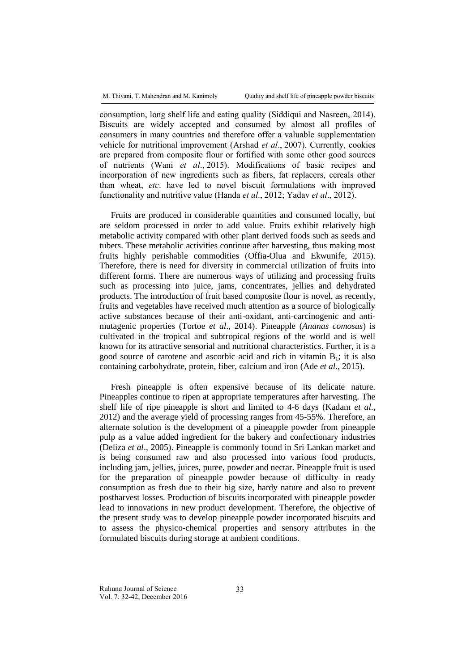consumption, long shelf life and eating quality (Siddiqui and Nasreen, 2014). Biscuits are widely accepted and consumed by almost all profiles of consumers in many countries and therefore offer a valuable supplementation vehicle for nutritional improvement (Arshad *et al*., 2007). Currently, cookies are prepared from composite flour or fortified with some other good sources of nutrients (Wani *et al*., 2015). Modifications of basic recipes and incorporation of new ingredients such as fibers, fat replacers, cereals other than wheat, *etc*. have led to novel biscuit formulations with improved functionality and nutritive value (Handa *et al*., 2012; Yadav *et al*., 2012).

Fruits are produced in considerable quantities and consumed locally, but are seldom processed in order to add value. Fruits exhibit relatively high metabolic activity compared with other plant derived foods such as seeds and tubers. These metabolic activities continue after harvesting, thus making most fruits highly perishable commodities (Offia-Olua and Ekwunife, 2015). Therefore, there is need for diversity in commercial utilization of fruits into different forms. There are numerous ways of utilizing and processing fruits such as processing into juice, jams, concentrates, jellies and dehydrated products. The introduction of fruit based composite flour is novel, as recently, fruits and vegetables have received much attention as a source of biologically active substances because of their anti-oxidant, anti-carcinogenic and antimutagenic properties (Tortoe *et al*., 2014). Pineapple (*Ananas comosus*) is cultivated in the tropical and subtropical regions of the world and is well known for its attractive sensorial and nutritional characteristics. Further, it is a good source of carotene and ascorbic acid and rich in vitamin  $B_1$ ; it is also containing carbohydrate, protein, fiber, calcium and iron (Ade *et al*., 2015).

Fresh pineapple is often expensive because of its delicate nature. Pineapples continue to ripen at appropriate temperatures after harvesting. The shelf life of ripe pineapple is short and limited to 4-6 days (Kadam *et al*., 2012) and the average yield of processing ranges from 45-55%. Therefore, an alternate solution is the development of a pineapple powder from pineapple pulp as a value added ingredient for the bakery and confectionary industries (Deliza *et al*., 2005). Pineapple is commonly found in Sri Lankan market and is being consumed raw and also processed into various food products, including jam, jellies, juices, puree, powder and nectar. Pineapple fruit is used for the preparation of pineapple powder because of difficulty in ready consumption as fresh due to their big size, hardy nature and also to prevent postharvest losses. Production of biscuits incorporated with pineapple powder lead to innovations in new product development. Therefore, the objective of the present study was to develop pineapple powder incorporated biscuits and to assess the physico-chemical properties and sensory attributes in the formulated biscuits during storage at ambient conditions.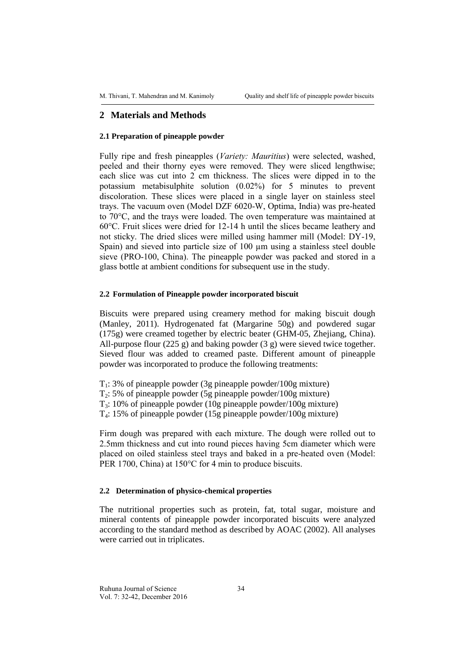## **2 Materials and Methods**

#### **2.1 Preparation of pineapple powder**

Fully ripe and fresh pineapples (*Variety: Mauritius*) were selected, washed, peeled and their thorny eyes were removed. They were sliced lengthwise; each slice was cut into 2 cm thickness. The slices were dipped in to the potassium metabisulphite solution (0.02%) for 5 minutes to prevent discoloration. These slices were placed in a single layer on stainless steel trays. The vacuum oven (Model DZF 6020-W, Optima, India) was pre-heated to 70°C, and the trays were loaded. The oven temperature was maintained at 60°C. Fruit slices were dried for 12-14 h until the slices became leathery and not sticky. The dried slices were milled using hammer mill (Model: DY-19, Spain) and sieved into particle size of 100  $\mu$ m using a stainless steel double sieve (PRO-100, China). The pineapple powder was packed and stored in a glass bottle at ambient conditions for subsequent use in the study.

#### **2.2 Formulation of Pineapple powder incorporated biscuit**

Biscuits were prepared using creamery method for making biscuit dough (Manley, 2011). Hydrogenated fat (Margarine 50g) and powdered sugar (175g) were creamed together by electric beater (GHM-05, Zhejiang, China). All-purpose flour (225 g) and baking powder (3 g) were sieved twice together. Sieved flour was added to creamed paste. Different amount of pineapple powder was incorporated to produce the following treatments:

 $T_1$ : 3% of pineapple powder (3g pineapple powder/100g mixture)

T2: 5% of pineapple powder (5g pineapple powder/100g mixture)

T3: 10% of pineapple powder (10g pineapple powder/100g mixture)

T4: 15% of pineapple powder (15g pineapple powder/100g mixture)

Firm dough was prepared with each mixture. The dough were rolled out to 2.5mm thickness and cut into round pieces having 5cm diameter which were placed on oiled stainless steel trays and baked in a pre-heated oven (Model: PER 1700, China) at 150°C for 4 min to produce biscuits.

#### **2.2 Determination of physico-chemical properties**

The nutritional properties such as protein, fat, total sugar, moisture and mineral contents of pineapple powder incorporated biscuits were analyzed according to the standard method as described by AOAC (2002). All analyses were carried out in triplicates.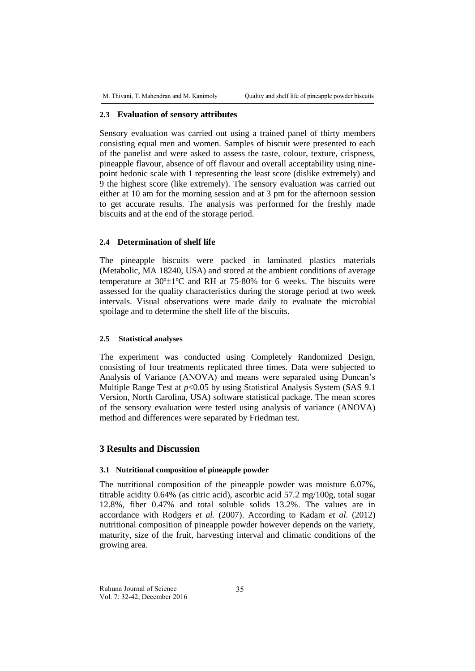#### **2.3 Evaluation of sensory attributes**

Sensory evaluation was carried out using a trained panel of thirty members consisting equal men and women. Samples of biscuit were presented to each of the panelist and were asked to assess the taste, colour, texture, crispness, pineapple flavour, absence of off flavour and overall acceptability using ninepoint hedonic scale with 1 representing the least score (dislike extremely) and 9 the highest score (like extremely). The sensory evaluation was carried out either at 10 am for the morning session and at 3 pm for the afternoon session to get accurate results. The analysis was performed for the freshly made biscuits and at the end of the storage period.

#### **2.4 Determination of shelf life**

The pineapple biscuits were packed in laminated plastics materials (Metabolic, MA 18240, USA) and stored at the ambient conditions of average temperature at  $30^{\circ} \pm 1^{\circ}$ C and RH at 75-80% for 6 weeks. The biscuits were assessed for the quality characteristics during the storage period at two week intervals. Visual observations were made daily to evaluate the microbial spoilage and to determine the shelf life of the biscuits.

#### **2.5 Statistical analyses**

The experiment was conducted using Completely Randomized Design, consisting of four treatments replicated three times. Data were subjected to Analysis of Variance (ANOVA) and means were separated using Duncan's Multiple Range Test at  $p<0.05$  by using Statistical Analysis System (SAS 9.1) Version, North Carolina, USA) software statistical package. The mean scores of the sensory evaluation were tested using analysis of variance (ANOVA) method and differences were separated by Friedman test.

# **3 Results and Discussion**

## **3.1 Nutritional composition of pineapple powder**

The nutritional composition of the pineapple powder was moisture 6.07%, titrable acidity 0.64% (as citric acid), ascorbic acid 57.2 mg/100g, total sugar 12.8%, fiber 0.47% and total soluble solids 13.2%. The values are in accordance with Rodgers *et al.* (2007). According to Kadam *et al.* (2012) nutritional composition of pineapple powder however depends on the variety, maturity, size of the fruit, harvesting interval and climatic conditions of the growing area.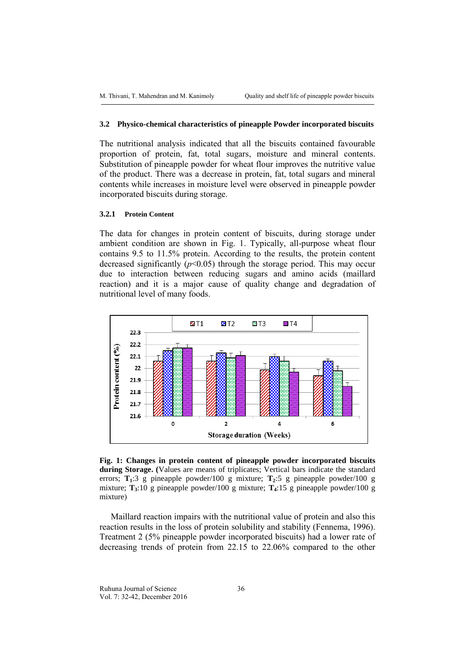#### **3.2 Physico-chemical characteristics of pineapple Powder incorporated biscuits**

The nutritional analysis indicated that all the biscuits contained favourable proportion of protein, fat, total sugars, moisture and mineral contents. Substitution of pineapple powder for wheat flour improves the nutritive value of the product. There was a decrease in protein, fat, total sugars and mineral contents while increases in moisture level were observed in pineapple powder incorporated biscuits during storage.

## **3.2.1 Protein Content**

The data for changes in protein content of biscuits, during storage under ambient condition are shown in Fig. 1. Typically, all-purpose wheat flour contains 9.5 to 11.5% protein. According to the results, the protein content decreased significantly  $(p<0.05)$  through the storage period. This may occur due to interaction between reducing sugars and amino acids (maillard reaction) and it is a major cause of quality change and degradation of nutritional level of many foods.



**Fig. 1: Changes in protein content of pineapple powder incorporated biscuits during Storage. (**Values are means of triplicates; Vertical bars indicate the standard errors; **T1**:3 g pineapple powder/100 g mixture; **T2**:5 g pineapple powder/100 g mixture; **T3**:10 g pineapple powder/100 g mixture; **T4**:15 g pineapple powder/100 g mixture)

Maillard reaction impairs with the nutritional value of protein and also this reaction results in the loss of protein solubility and stability (Fennema, 1996). Treatment 2 (5% pineapple powder incorporated biscuits) had a lower rate of decreasing trends of protein from 22.15 to 22.06% compared to the other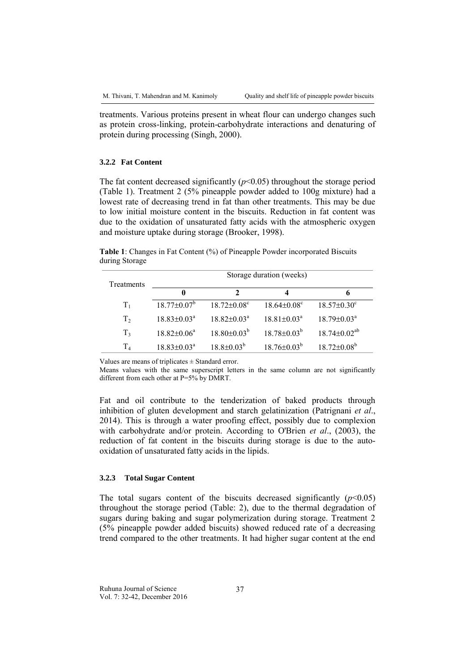treatments. Various proteins present in wheat flour can undergo changes such as protein cross-linking, protein-carbohydrate interactions and denaturing of protein during processing (Singh, 2000).

## **3.2.2 Fat Content**

The fat content decreased significantly  $(p<0.05)$  throughout the storage period (Table 1). Treatment 2 (5% pineapple powder added to 100g mixture) had a lowest rate of decreasing trend in fat than other treatments. This may be due to low initial moisture content in the biscuits. Reduction in fat content was due to the oxidation of unsaturated fatty acids with the atmospheric oxygen and moisture uptake during storage (Brooker, 1998).

**Table 1**: Changes in Fat Content (%) of Pineapple Powder incorporated Biscuits during Storage

| Treatments     | Storage duration (weeks)    |                             |                             |                             |  |
|----------------|-----------------------------|-----------------------------|-----------------------------|-----------------------------|--|
|                | 0                           | 2                           | 4                           | 6                           |  |
| $T_1$          | $18.77 \pm 0.07^{\circ}$    | $18.72 \pm 0.08^c$          | $18.64 \pm 0.08^c$          | $18.57 \pm 0.30^{\circ}$    |  |
| T <sub>2</sub> | $18.83 \pm 0.03^{\text{a}}$ | $18.82 \pm 0.03^{\text{a}}$ | $18.81 \pm 0.03^{\text{a}}$ | $18.79 \pm 0.03^{\text{a}}$ |  |
| $T_3$          | $18.82 \pm 0.06^{\circ}$    | $18.80 \pm 0.03^b$          | $18.78 \pm 0.03^{\circ}$    | $18.74 \pm 0.02^{ab}$       |  |
| $T_4$          | $18.83 \pm 0.03^{\text{a}}$ | $18.8 \pm 0.03^b$           | $18.76 \pm 0.03^b$          | $18.72 \pm 0.08^b$          |  |

Values are means of triplicates  $\pm$  Standard error.

Means values with the same superscript letters in the same column are not significantly different from each other at P=5% by DMRT.

Fat and oil contribute to the tenderization of baked products through inhibition of gluten development and starch gelatinization (Patrignani *et al*., 2014). This is through a water proofing effect, possibly due to complexion with carbohydrate and/or protein. According to O'Brien *et al*., (2003), the reduction of fat content in the biscuits during storage is due to the autooxidation of unsaturated fatty acids in the lipids.

## **3.2.3 Total Sugar Content**

The total sugars content of the biscuits decreased significantly  $(p<0.05)$ throughout the storage period (Table: 2), due to the thermal degradation of sugars during baking and sugar polymerization during storage. Treatment 2 (5% pineapple powder added biscuits) showed reduced rate of a decreasing trend compared to the other treatments. It had higher sugar content at the end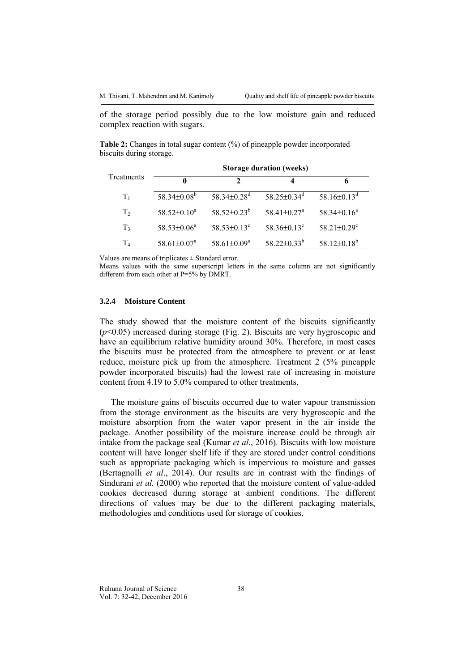of the storage period possibly due to the low moisture gain and reduced complex reaction with sugars.

**Table 2:** Changes in total sugar content (%) of pineapple powder incorporated biscuits during storage.

|                | <b>Storage duration (weeks)</b> |                               |                               |                               |  |  |
|----------------|---------------------------------|-------------------------------|-------------------------------|-------------------------------|--|--|
| Treatments     | $\mathbf{0}$                    |                               |                               | 6                             |  |  |
| $T_1$          | $58.34 \pm 0.08^b$              | $58.34 \pm 0.28$ <sup>d</sup> | $58.25 \pm 0.34$ <sup>d</sup> | 58.16 $\pm$ 0.13 <sup>d</sup> |  |  |
| T <sub>2</sub> | $58.52\pm0.10^a$                | $58.52 \pm 0.23^b$            | $58.41 \pm 0.27$ <sup>a</sup> | $58.34\pm0.16^a$              |  |  |
| T <sub>3</sub> | $58.53 \pm 0.06^a$              | $58.53 \pm 0.13^{\circ}$      | $58.36\pm0.13^{\circ}$        | $58.21 \pm 0.29$ <sup>c</sup> |  |  |
| $T_{4}$        | $58.61 \pm 0.07^a$              | $58.61 \pm 0.09^a$            | $58.22 \pm 0.33^b$            | $58.12 \pm 0.18^b$            |  |  |

Values are means of triplicates  $\pm$  Standard error.

Means values with the same superscript letters in the same column are not significantly different from each other at P=5% by DMRT.

#### **3.2.4 Moisture Content**

The study showed that the moisture content of the biscuits significantly (*p*<0.05) increased during storage (Fig. 2). Biscuits are very hygroscopic and have an equilibrium relative humidity around 30%. Therefore, in most cases the biscuits must be protected from the atmosphere to prevent or at least reduce, moisture pick up from the atmosphere. Treatment 2 (5% pineapple powder incorporated biscuits) had the lowest rate of increasing in moisture content from 4.19 to 5.0% compared to other treatments.

The moisture gains of biscuits occurred due to water vapour transmission from the storage environment as the biscuits are very hygroscopic and the moisture absorption from the water vapor present in the air inside the package. Another possibility of the moisture increase could be through air intake from the package seal (Kumar *et al*., 2016). Biscuits with low moisture content will have longer shelf life if they are stored under control conditions such as appropriate packaging which is impervious to moisture and gasses (Bertagnolli *et al*., 2014). Our results are in contrast with the findings of Sindurani *et al.* (2000) who reported that the moisture content of value-added cookies decreased during storage at ambient conditions. The different directions of values may be due to the different packaging materials, methodologies and conditions used for storage of cookies.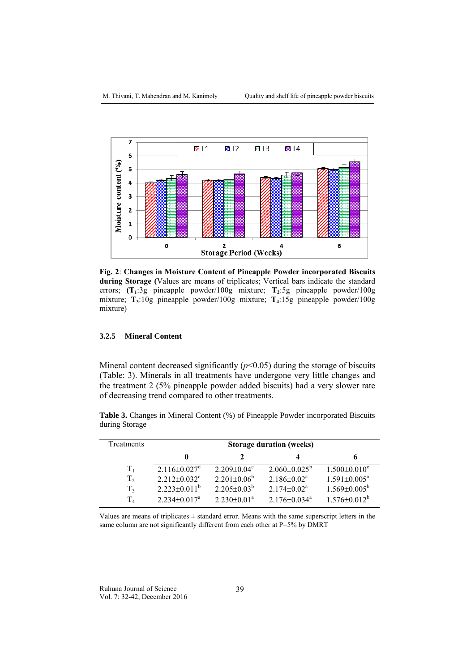

**Fig. 2**: **Changes in Moisture Content of Pineapple Powder incorporated Biscuits during Storage (**Values are means of triplicates; Vertical bars indicate the standard errors; **(T1**:3g pineapple powder/100g mixture; **T2**:5g pineapple powder/100g mixture; **T3**:10g pineapple powder/100g mixture; **T4**:15g pineapple powder/100g mixture)

# **3.2.5 Mineral Content**

Mineral content decreased significantly  $(p<0.05)$  during the storage of biscuits (Table: 3). Minerals in all treatments have undergone very little changes and the treatment 2 (5% pineapple powder added biscuits) had a very slower rate of decreasing trend compared to other treatments.

|                |  |  |  | <b>Table 3.</b> Changes in Mineral Content (%) of Pineapple Powder incorporated Biscuits |
|----------------|--|--|--|------------------------------------------------------------------------------------------|
| during Storage |  |  |  |                                                                                          |

| Treatments     | <b>Storage duration (weeks)</b> |                               |                                |                         |  |
|----------------|---------------------------------|-------------------------------|--------------------------------|-------------------------|--|
|                |                                 |                               |                                | o                       |  |
| $T_{1}$        | $2.116 \pm 0.027$ <sup>d</sup>  | $2.209 \pm 0.04$ <sup>c</sup> | $2.060\pm0.025^{\circ}$        | $1.500\pm0.010^{\circ}$ |  |
| T <sub>2</sub> | $2.212 \pm 0.032$ <sup>c</sup>  | $2.201 \pm 0.06^b$            | $2.186 \pm 0.02^a$             | $1.591 \pm 0.005^a$     |  |
| $T_3$          | $2.223 \pm 0.011^b$             | $2.205 \pm 0.03^b$            | $2.174 \pm 0.02^a$             | $1.569 \pm 0.005^b$     |  |
| T <sub>4</sub> | $2.234\pm0.017^{\text{a}}$      | $2.230 \pm 0.01^{\text{a}}$   | $2.176 \pm 0.034$ <sup>a</sup> | $1.576 \pm 0.012^b$     |  |

Values are means of triplicates  $\pm$  standard error. Means with the same superscript letters in the same column are not significantly different from each other at P=5% by DMRT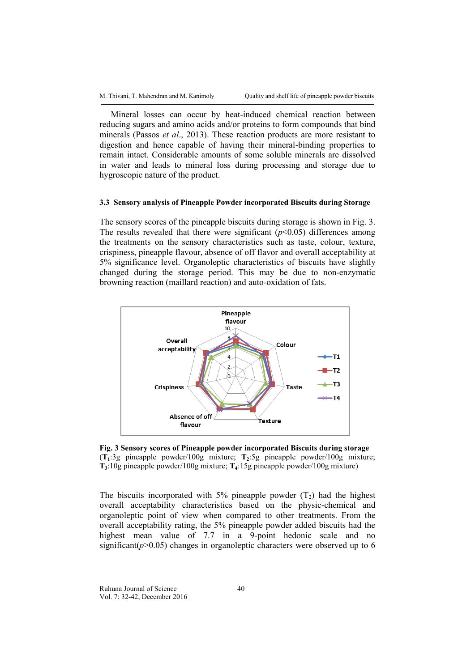Mineral losses can occur by heat-induced chemical reaction between reducing sugars and amino acids and/or proteins to form compounds that bind minerals (Passos *et al*., 2013). These reaction products are more resistant to digestion and hence capable of having their mineral-binding properties to remain intact. Considerable amounts of some soluble minerals are dissolved in water and leads to mineral loss during processing and storage due to hygroscopic nature of the product.

#### **3.3 Sensory analysis of Pineapple Powder incorporated Biscuits during Storage**

The sensory scores of the pineapple biscuits during storage is shown in Fig. 3. The results revealed that there were significant  $(p<0.05)$  differences among the treatments on the sensory characteristics such as taste, colour, texture, crispiness, pineapple flavour, absence of off flavor and overall acceptability at 5% significance level. Organoleptic characteristics of biscuits have slightly changed during the storage period. This may be due to non-enzymatic browning reaction (maillard reaction) and auto-oxidation of fats.



**Fig. 3 Sensory scores of Pineapple powder incorporated Biscuits during storage** (**T1**:3g pineapple powder/100g mixture; **T2**:5g pineapple powder/100g mixture; **T3**:10g pineapple powder/100g mixture; **T4**:15g pineapple powder/100g mixture)

The biscuits incorporated with 5% pineapple powder  $(T_2)$  had the highest overall acceptability characteristics based on the physic-chemical and organoleptic point of view when compared to other treatments. From the overall acceptability rating, the 5% pineapple powder added biscuits had the highest mean value of 7.7 in a 9-point hedonic scale and no significant( $p$ >0.05) changes in organoleptic characters were observed up to 6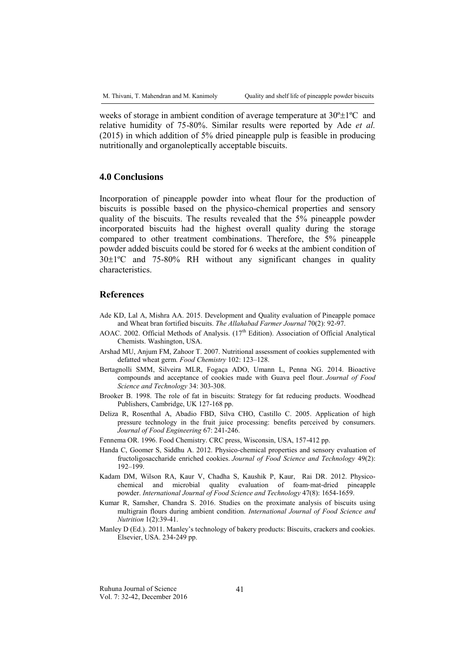weeks of storage in ambient condition of average temperature at  $30^{\circ} \pm 1^{\circ}C$  and relative humidity of 75-80%. Similar results were reported by Ade *et al.* (2015) in which addition of 5% dried pineapple pulp is feasible in producing nutritionally and organoleptically acceptable biscuits.

## **4.0 Conclusions**

Incorporation of pineapple powder into wheat flour for the production of biscuits is possible based on the physico-chemical properties and sensory quality of the biscuits. The results revealed that the 5% pineapple powder incorporated biscuits had the highest overall quality during the storage compared to other treatment combinations. Therefore, the 5% pineapple powder added biscuits could be stored for 6 weeks at the ambient condition of  $30\pm1\degree$ C and  $75-80\%$  RH without any significant changes in quality characteristics.

## **References**

- Ade KD, Lal A, Mishra AA. 2015. Development and Quality evaluation of Pineapple pomace and Wheat bran fortified biscuits. *The Allahabad Farmer Journal* 70(2): 92-97.
- AOAC. 2002. Official Methods of Analysis.  $(17<sup>th</sup> Edition)$ . Association of Official Analytical Chemists. Washington, USA.
- Arshad MU, Anjum FM, Zahoor T. 2007. Nutritional assessment of cookies supplemented with defatted wheat germ. *Food Chemistry* 102: 123–128.
- Bertagnolli SMM, Silveira MLR, Fogaça ADO, Umann L, Penna NG. 2014. Bioactive compounds and acceptance of cookies made with Guava peel flour. *Journal of Food Science and Technology* 34: 303-308.
- Brooker B. 1998. The role of fat in biscuits: Strategy for fat reducing products. Woodhead Publishers, Cambridge, UK 127-168 pp.
- Deliza R, Rosenthal A, Abadio FBD, Silva CHO, Castillo C. 2005. Application of high pressure technology in the fruit juice processing: benefits perceived by consumers. *Journal of Food Engineering* 67: 241-246.
- Fennema OR. 1996. Food Chemistry. CRC press, Wisconsin, USA, 157-412 pp.
- Handa C, Goomer S, Siddhu A. 2012. Physico-chemical properties and sensory evaluation of fructoligosaccharide enriched cookies. *Journal of Food Science and Technology* 49(2): 192–199.
- Kadam DM, Wilson RA, Kaur V, Chadha S, Kaushik P, Kaur, Rai DR. 2012. Physicochemical and microbial quality evaluation of foam-mat-dried pineapple powder. *International Journal of Food Science and Technology* 47(8): 1654-1659.
- Kumar R, Samsher, Chandra S. 2016. Studies on the proximate analysis of biscuits using multigrain flours during ambient condition. *International Journal of Food Science and Nutrition* 1(2):39-41.
- Manley D (Ed.). 2011. Manley's technology of bakery products: Biscuits, crackers and cookies. Elsevier, USA. 234-249 pp.

Ruhuna Journal of Science Vol. 7: 32-42, December 2016